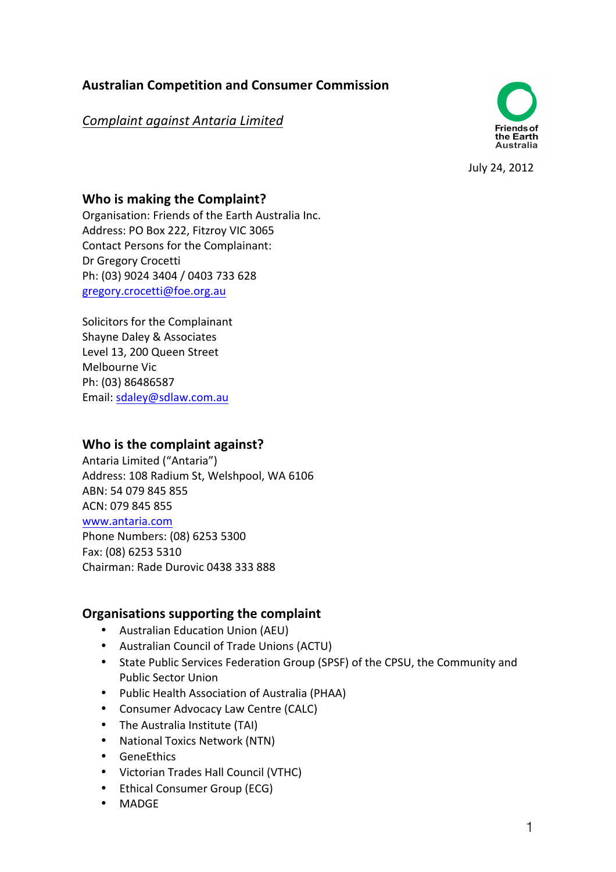# **Australian Competition and Consumer Commission**

# *Complaint against Antaria Limited*



July 24, 2012

## **Who is making the Complaint?**

Organisation: Friends of the Earth Australia Inc. Address: PO Box 222, Fitzroy VIC 3065 Contact Persons for the Complainant: Dr Gregory Crocetti Ph: (03) 9024 3404 / 0403 733 628 gregory.crocetti@foe.org.au

Solicitors for the Complainant Shayne Daley & Associates Level 13, 200 Queen Street Melbourne Vic Ph: (03) 86486587 Email: sdaley@sdlaw.com.au

### **Who is the complaint against?**

Antaria Limited ("Antaria") Address: 108 Radium St, Welshpool, WA 6106 ABN: 54 079 845 855 ACN: 079 845 855 www.antaria.com Phone Numbers: (08) 6253 5300 Fax: (08) 6253 5310 Chairman: Rade Durovic 0438 333 888

# **Organisations supporting the complaint**

- Australian Education Union (AEU)
- Australian Council of Trade Unions (ACTU)
- State Public Services Federation Group (SPSF) of the CPSU, the Community and Public Sector Union
- Public Health Association of Australia (PHAA)
- Consumer Advocacy Law Centre (CALC)
- The Australia Institute (TAI)
- National Toxics Network (NTN)
- GeneEthics
- Victorian Trades Hall Council (VTHC)
- Ethical Consumer Group (ECG)
- MADGE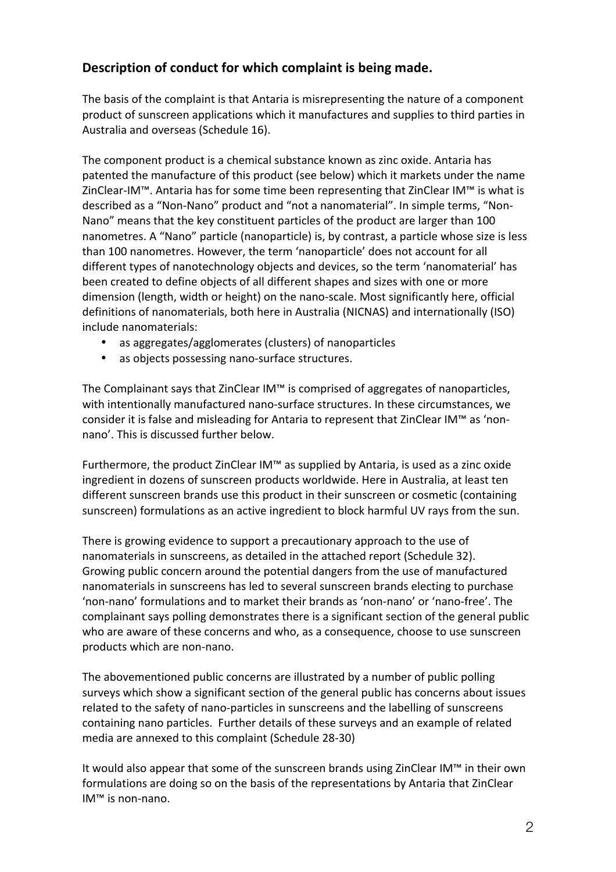# Description of conduct for which complaint is being made.

The basis of the complaint is that Antaria is misrepresenting the nature of a component product of sunscreen applications which it manufactures and supplies to third parties in Australia and overseas (Schedule 16).

The component product is a chemical substance known as zinc oxide. Antaria has patented the manufacture of this product (see below) which it markets under the name ZinClear-IM™. Antaria has for some time been representing that ZinClear IM™ is what is described as a "Non-Nano" product and "not a nanomaterial". In simple terms, "Non-Nano" means that the key constituent particles of the product are larger than 100 nanometres. A "Nano" particle (nanoparticle) is, by contrast, a particle whose size is less than 100 nanometres. However, the term 'nanoparticle' does not account for all different types of nanotechnology objects and devices, so the term 'nanomaterial' has been created to define objects of all different shapes and sizes with one or more dimension (length, width or height) on the nano-scale. Most significantly here, official definitions of nanomaterials, both here in Australia (NICNAS) and internationally (ISO) include nanomaterials:

- as aggregates/agglomerates (clusters) of nanoparticles
- as objects possessing nano-surface structures.

The Complainant says that ZinClear IM™ is comprised of aggregates of nanoparticles, with intentionally manufactured nano-surface structures. In these circumstances, we consider it is false and misleading for Antaria to represent that ZinClear IM™ as 'nonnano'. This is discussed further below.

Furthermore, the product ZinClear IM™ as supplied by Antaria, is used as a zinc oxide ingredient in dozens of sunscreen products worldwide. Here in Australia, at least ten different sunscreen brands use this product in their sunscreen or cosmetic (containing sunscreen) formulations as an active ingredient to block harmful UV rays from the sun.

There is growing evidence to support a precautionary approach to the use of nanomaterials in sunscreens, as detailed in the attached report (Schedule 32). Growing public concern around the potential dangers from the use of manufactured nanomaterials in sunscreens has led to several sunscreen brands electing to purchase 'non-nano' formulations and to market their brands as 'non-nano' or 'nano-free'. The complainant says polling demonstrates there is a significant section of the general public who are aware of these concerns and who, as a consequence, choose to use sunscreen products which are non-nano.

The abovementioned public concerns are illustrated by a number of public polling surveys which show a significant section of the general public has concerns about issues related to the safety of nano-particles in sunscreens and the labelling of sunscreens containing nano particles. Further details of these surveys and an example of related media are annexed to this complaint (Schedule 28-30)

It would also appear that some of the sunscreen brands using ZinClear IM™ in their own formulations are doing so on the basis of the representations by Antaria that ZinClear IM<sup>™</sup> is non-nano.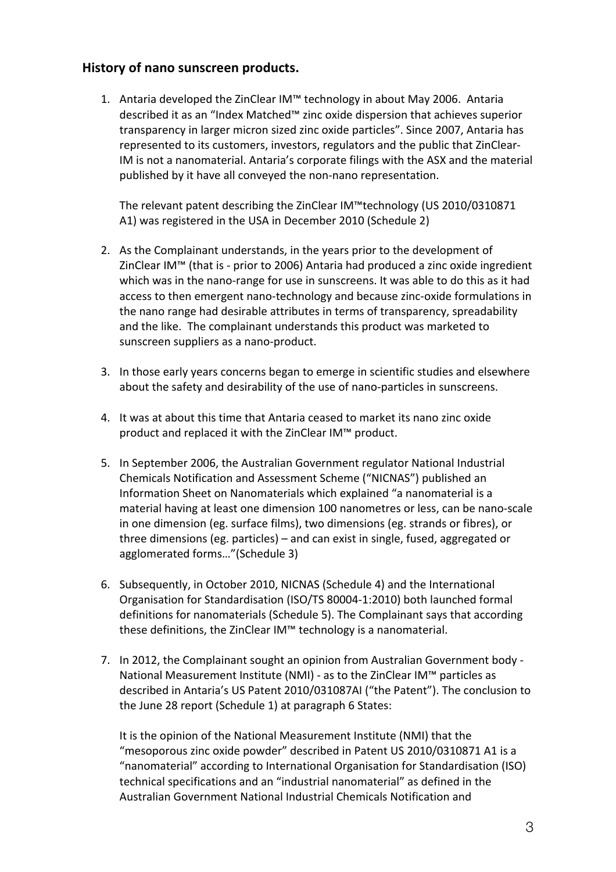### **History of nano sunscreen products.**

1. Antaria developed the ZinClear IM™ technology in about May 2006. Antaria described it as an "Index Matched™ zinc oxide dispersion that achieves superior transparency in larger micron sized zinc oxide particles". Since 2007, Antaria has represented to its customers, investors, regulators and the public that ZinClear-IM is not a nanomaterial. Antaria's corporate filings with the ASX and the material published by it have all conveyed the non-nano representation.

The relevant patent describing the ZinClear IM™technology (US 2010/0310871 A1) was registered in the USA in December 2010 (Schedule 2)

- 2. As the Complainant understands, in the years prior to the development of ZinClear IM™ (that is - prior to 2006) Antaria had produced a zinc oxide ingredient which was in the nano-range for use in sunscreens. It was able to do this as it had access to then emergent nano-technology and because zinc-oxide formulations in the nano range had desirable attributes in terms of transparency, spreadability and the like. The complainant understands this product was marketed to sunscreen suppliers as a nano-product.
- 3. In those early years concerns began to emerge in scientific studies and elsewhere about the safety and desirability of the use of nano-particles in sunscreens.
- 4. It was at about this time that Antaria ceased to market its nano zinc oxide product and replaced it with the ZinClear IM™ product.
- 5. In September 2006, the Australian Government regulator National Industrial Chemicals Notification and Assessment Scheme ("NICNAS") published an Information Sheet on Nanomaterials which explained "a nanomaterial is a material having at least one dimension 100 nanometres or less, can be nano-scale in one dimension (eg. surface films), two dimensions (eg. strands or fibres), or three dimensions (eg. particles) – and can exist in single, fused, aggregated or agglomerated forms..."(Schedule 3)
- 6. Subsequently, in October 2010, NICNAS (Schedule 4) and the International Organisation for Standardisation (ISO/TS 80004-1:2010) both launched formal definitions for nanomaterials (Schedule 5). The Complainant says that according these definitions, the ZinClear IM™ technology is a nanomaterial.
- 7. In 2012, the Complainant sought an opinion from Australian Government body -National Measurement Institute (NMI) - as to the ZinClear IM<sup>™</sup> particles as described in Antaria's US Patent 2010/031087AI ("the Patent"). The conclusion to the June 28 report (Schedule 1) at paragraph 6 States:

It is the opinion of the National Measurement Institute (NMI) that the "mesoporous zinc oxide powder" described in Patent US 2010/0310871 A1 is a "nanomaterial" according to International Organisation for Standardisation (ISO) technical specifications and an "industrial nanomaterial" as defined in the Australian Government National Industrial Chemicals Notification and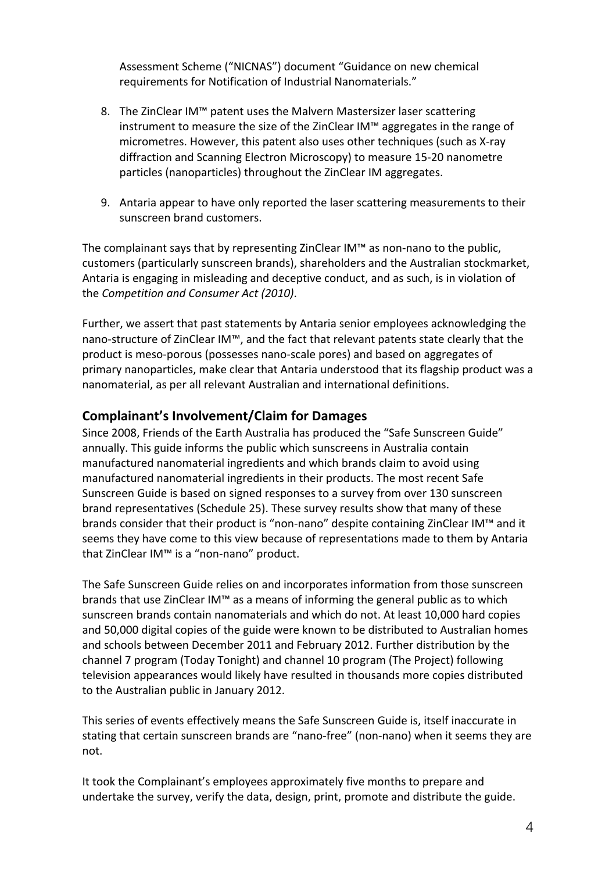Assessment Scheme ("NICNAS") document "Guidance on new chemical requirements for Notification of Industrial Nanomaterials."

- 8. The ZinClear IM™ patent uses the Malvern Mastersizer laser scattering instrument to measure the size of the ZinClear IM™ aggregates in the range of micrometres. However, this patent also uses other techniques (such as X-ray diffraction and Scanning Electron Microscopy) to measure 15-20 nanometre particles (nanoparticles) throughout the ZinClear IM aggregates.
- 9. Antaria appear to have only reported the laser scattering measurements to their sunscreen brand customers.

The complainant says that by representing ZinClear IM™ as non-nano to the public, customers (particularly sunscreen brands), shareholders and the Australian stockmarket, Antaria is engaging in misleading and deceptive conduct, and as such, is in violation of the *Competition* and *Consumer Act (2010)*.

Further, we assert that past statements by Antaria senior employees acknowledging the nano-structure of ZinClear IM™, and the fact that relevant patents state clearly that the product is meso-porous (possesses nano-scale pores) and based on aggregates of primary nanoparticles, make clear that Antaria understood that its flagship product was a nanomaterial, as per all relevant Australian and international definitions.

### **Complainant's Involvement/Claim for Damages**

Since 2008, Friends of the Earth Australia has produced the "Safe Sunscreen Guide" annually. This guide informs the public which sunscreens in Australia contain manufactured nanomaterial ingredients and which brands claim to avoid using manufactured nanomaterial ingredients in their products. The most recent Safe Sunscreen Guide is based on signed responses to a survey from over 130 sunscreen brand representatives (Schedule 25). These survey results show that many of these brands consider that their product is "non-nano" despite containing ZinClear IM™ and it seems they have come to this view because of representations made to them by Antaria that ZinClear IM™ is a "non-nano" product.

The Safe Sunscreen Guide relies on and incorporates information from those sunscreen brands that use ZinClear IM™ as a means of informing the general public as to which sunscreen brands contain nanomaterials and which do not. At least 10,000 hard copies and 50,000 digital copies of the guide were known to be distributed to Australian homes and schools between December 2011 and February 2012. Further distribution by the channel 7 program (Today Tonight) and channel 10 program (The Project) following television appearances would likely have resulted in thousands more copies distributed to the Australian public in January 2012.

This series of events effectively means the Safe Sunscreen Guide is, itself inaccurate in stating that certain sunscreen brands are "nano-free" (non-nano) when it seems they are not.

It took the Complainant's employees approximately five months to prepare and undertake the survey, verify the data, design, print, promote and distribute the guide.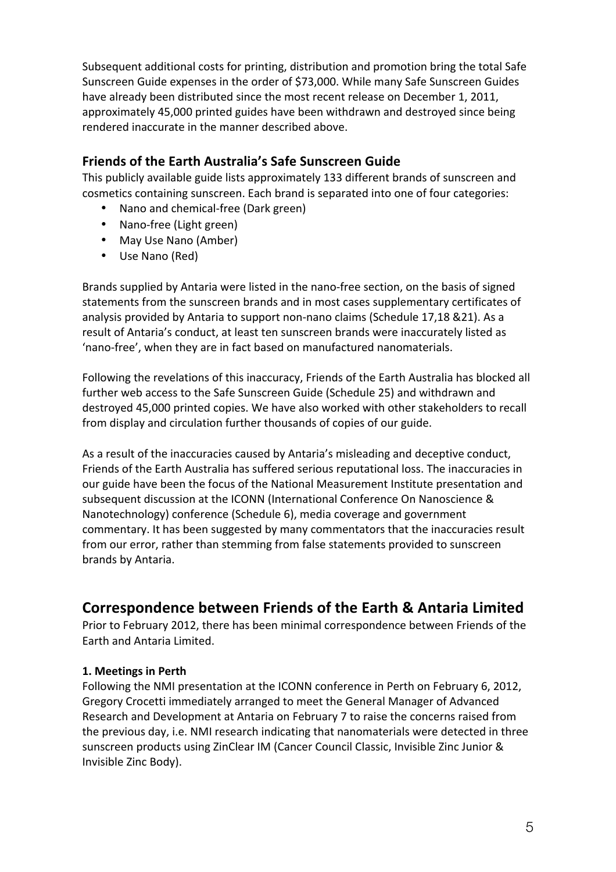Subsequent additional costs for printing, distribution and promotion bring the total Safe Sunscreen Guide expenses in the order of \$73,000. While many Safe Sunscreen Guides have already been distributed since the most recent release on December 1, 2011, approximately 45,000 printed guides have been withdrawn and destroyed since being rendered inaccurate in the manner described above.

## **Friends of the Earth Australia's Safe Sunscreen Guide**

This publicly available guide lists approximately 133 different brands of sunscreen and cosmetics containing sunscreen. Each brand is separated into one of four categories:

- Nano and chemical-free (Dark green)
- Nano-free (Light green)
- May Use Nano (Amber)
- Use Nano (Red)

Brands supplied by Antaria were listed in the nano-free section, on the basis of signed statements from the sunscreen brands and in most cases supplementary certificates of analysis provided by Antaria to support non-nano claims (Schedule 17,18 &21). As a result of Antaria's conduct, at least ten sunscreen brands were inaccurately listed as 'nano-free', when they are in fact based on manufactured nanomaterials.

Following the revelations of this inaccuracy, Friends of the Earth Australia has blocked all further web access to the Safe Sunscreen Guide (Schedule 25) and withdrawn and destroyed 45,000 printed copies. We have also worked with other stakeholders to recall from display and circulation further thousands of copies of our guide.

As a result of the inaccuracies caused by Antaria's misleading and deceptive conduct, Friends of the Earth Australia has suffered serious reputational loss. The inaccuracies in our guide have been the focus of the National Measurement Institute presentation and subsequent discussion at the ICONN (International Conference On Nanoscience & Nanotechnology) conference (Schedule 6), media coverage and government commentary. It has been suggested by many commentators that the inaccuracies result from our error, rather than stemming from false statements provided to sunscreen brands by Antaria.

# **Correspondence between Friends of the Earth & Antaria Limited**

Prior to February 2012, there has been minimal correspondence between Friends of the Earth and Antaria Limited.

#### **1. Meetings in Perth**

Following the NMI presentation at the ICONN conference in Perth on February 6, 2012, Gregory Crocetti immediately arranged to meet the General Manager of Advanced Research and Development at Antaria on February 7 to raise the concerns raised from the previous day, i.e. NMI research indicating that nanomaterials were detected in three sunscreen products using ZinClear IM (Cancer Council Classic, Invisible Zinc Junior & Invisible Zinc Body).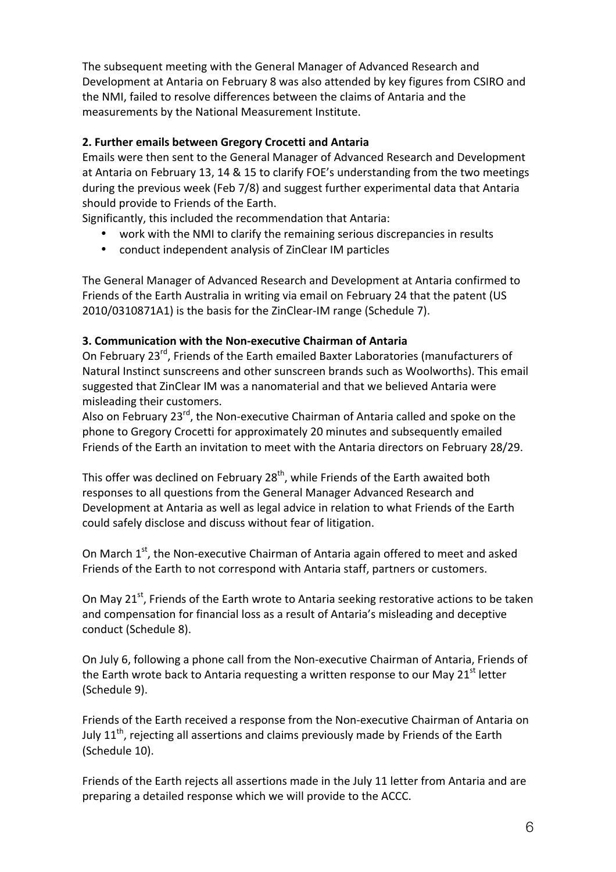The subsequent meeting with the General Manager of Advanced Research and Development at Antaria on February 8 was also attended by key figures from CSIRO and the NMI, failed to resolve differences between the claims of Antaria and the measurements by the National Measurement Institute.

### **2. Further emails between Gregory Crocetti and Antaria**

Emails were then sent to the General Manager of Advanced Research and Development at Antaria on February 13, 14 & 15 to clarify FOE's understanding from the two meetings during the previous week (Feb 7/8) and suggest further experimental data that Antaria should provide to Friends of the Earth.

Significantly, this included the recommendation that Antaria:

- work with the NMI to clarify the remaining serious discrepancies in results
- conduct independent analysis of ZinClear IM particles

The General Manager of Advanced Research and Development at Antaria confirmed to Friends of the Earth Australia in writing via email on February 24 that the patent (US 2010/0310871A1) is the basis for the ZinClear-IM range (Schedule 7).

### **3. Communication with the Non-executive Chairman of Antaria**

On February 23<sup>rd</sup>, Friends of the Earth emailed Baxter Laboratories (manufacturers of Natural Instinct sunscreens and other sunscreen brands such as Woolworths). This email suggested that ZinClear IM was a nanomaterial and that we believed Antaria were misleading their customers.

Also on February  $23^{rd}$ , the Non-executive Chairman of Antaria called and spoke on the phone to Gregory Crocetti for approximately 20 minutes and subsequently emailed Friends of the Earth an invitation to meet with the Antaria directors on February 28/29.

This offer was declined on February  $28<sup>th</sup>$ , while Friends of the Earth awaited both responses to all questions from the General Manager Advanced Research and Development at Antaria as well as legal advice in relation to what Friends of the Earth could safely disclose and discuss without fear of litigation.

On March 1<sup>st</sup>, the Non-executive Chairman of Antaria again offered to meet and asked Friends of the Earth to not correspond with Antaria staff, partners or customers.

On May 21<sup>st</sup>, Friends of the Earth wrote to Antaria seeking restorative actions to be taken and compensation for financial loss as a result of Antaria's misleading and deceptive conduct (Schedule 8).

On July 6, following a phone call from the Non-executive Chairman of Antaria, Friends of the Earth wrote back to Antaria requesting a written response to our May 21<sup>st</sup> letter (Schedule 9).

Friends of the Earth received a response from the Non-executive Chairman of Antaria on July  $11^{th}$ , rejecting all assertions and claims previously made by Friends of the Earth (Schedule 10).

Friends of the Earth rejects all assertions made in the July 11 letter from Antaria and are preparing a detailed response which we will provide to the ACCC.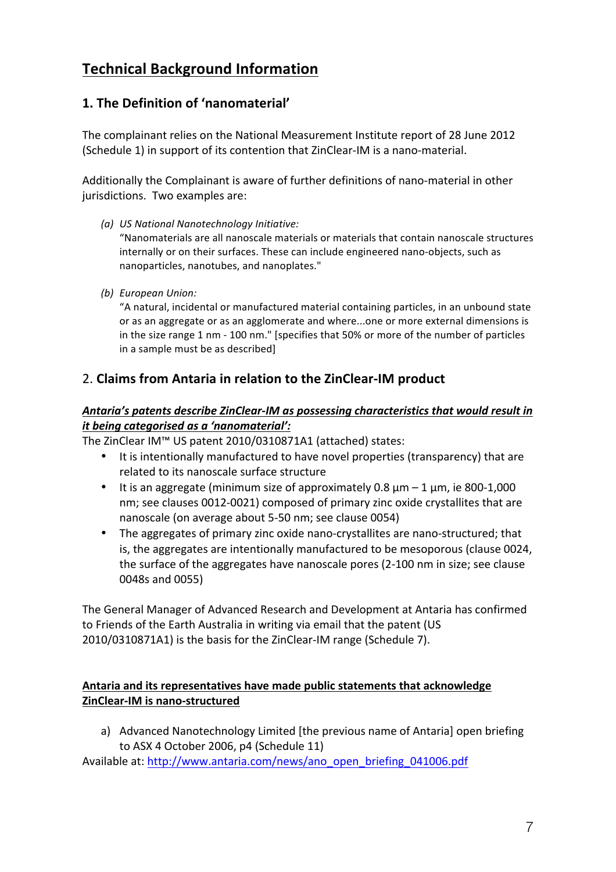# **Technical Background Information**

# **1. The Definition of 'nanomaterial'**

The complainant relies on the National Measurement Institute report of 28 June 2012 (Schedule 1) in support of its contention that ZinClear-IM is a nano-material.

Additionally the Complainant is aware of further definitions of nano-material in other jurisdictions. Two examples are:

*(a) US National Nanotechnology Initiative:*

"Nanomaterials are all nanoscale materials or materials that contain nanoscale structures internally or on their surfaces. These can include engineered nano-objects, such as nanoparticles, nanotubes, and nanoplates."

*(b) European Union:*

"A natural, incidental or manufactured material containing particles, in an unbound state or as an aggregate or as an agglomerate and where...one or more external dimensions is in the size range 1 nm - 100 nm." [specifies that 50% or more of the number of particles in a sample must be as described]

# 2. **Claims from Antaria in relation to the ZinClear-IM product**

#### Antaria's patents describe ZinClear-IM as possessing characteristics that would result in *it being categorised as a 'nanomaterial':*

The ZinClear IM™ US patent 2010/0310871A1 (attached) states:

- It is intentionally manufactured to have novel properties (transparency) that are related to its nanoscale surface structure
- It is an aggregate (minimum size of approximately 0.8  $\mu$ m 1  $\mu$ m, ie 800-1,000 nm; see clauses 0012-0021) composed of primary zinc oxide crystallites that are nanoscale (on average about 5-50 nm; see clause 0054)
- The aggregates of primary zinc oxide nano-crystallites are nano-structured; that is, the aggregates are intentionally manufactured to be mesoporous (clause 0024, the surface of the aggregates have nanoscale pores (2-100 nm in size; see clause 0048s and 0055)

The General Manager of Advanced Research and Development at Antaria has confirmed to Friends of the Earth Australia in writing via email that the patent (US 2010/0310871A1) is the basis for the ZinClear-IM range (Schedule 7).

#### Antaria and its representatives have made public statements that acknowledge **ZinClear-IM is nano-structured**

a) Advanced Nanotechnology Limited [the previous name of Antaria] open briefing to ASX 4 October 2006, p4 (Schedule 11)

Available at: http://www.antaria.com/news/ano\_open\_briefing\_041006.pdf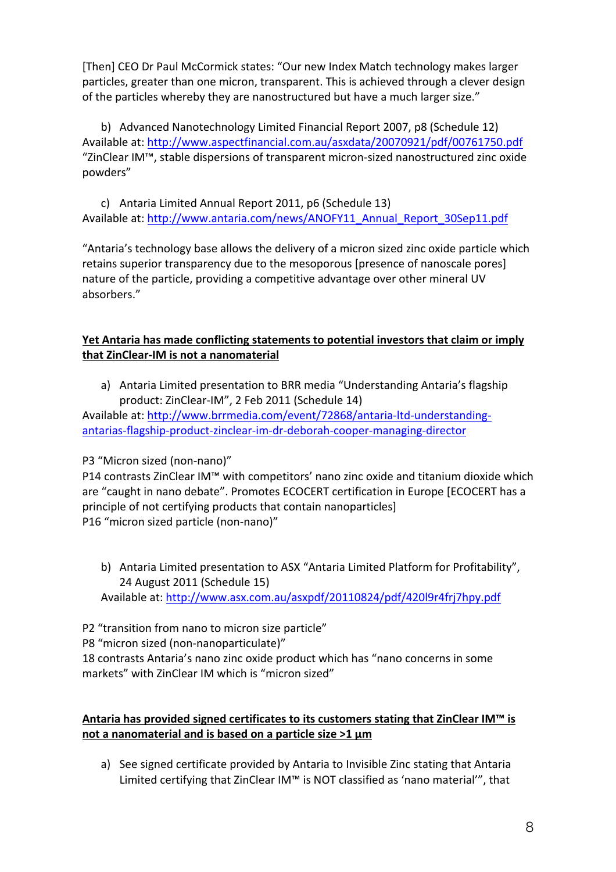[Then] CEO Dr Paul McCormick states: "Our new Index Match technology makes larger particles, greater than one micron, transparent. This is achieved through a clever design of the particles whereby they are nanostructured but have a much larger size."

b) Advanced Nanotechnology Limited Financial Report 2007, p8 (Schedule 12) Available at: http://www.aspectfinancial.com.au/asxdata/20070921/pdf/00761750.pdf "ZinClear IM™, stable dispersions of transparent micron-sized nanostructured zinc oxide powders"

c) Antaria Limited Annual Report 2011, p6 (Schedule 13) Available at: http://www.antaria.com/news/ANOFY11\_Annual\_Report\_30Sep11.pdf

"Antaria's technology base allows the delivery of a micron sized zinc oxide particle which retains superior transparency due to the mesoporous [presence of nanoscale pores] nature of the particle, providing a competitive advantage over other mineral UV absorbers."

### **Yet Antaria has made conflicting statements to potential investors that claim or imply that ZinClear-IM is not a nanomaterial**

a) Antaria Limited presentation to BRR media "Understanding Antaria's flagship product: ZinClear-IM", 2 Feb 2011 (Schedule 14)

Available at: http://www.brrmedia.com/event/72868/antaria-ltd-understandingantarias-flagship-product-zinclear-im-dr-deborah-cooper-managing-director

#### P3 "Micron sized (non-nano)"

P14 contrasts ZinClear IM™ with competitors' nano zinc oxide and titanium dioxide which are "caught in nano debate". Promotes ECOCERT certification in Europe [ECOCERT has a principle of not certifying products that contain nanoparticles] P16 "micron sized particle (non-nano)"

b) Antaria Limited presentation to ASX "Antaria Limited Platform for Profitability", 24 August 2011 (Schedule 15) Available at: http://www.asx.com.au/asxpdf/20110824/pdf/420l9r4frj7hpy.pdf

P2 "transition from nano to micron size particle"

P8 "micron sized (non-nanoparticulate)"

18 contrasts Antaria's nano zinc oxide product which has "nano concerns in some markets" with ZinClear IM which is "micron sized"

### Antaria has provided signed certificates to its customers stating that ZinClear IM<sup>™</sup> is not a nanomaterial and is based on a particle size >1  $\mu$ m

a) See signed certificate provided by Antaria to Invisible Zinc stating that Antaria Limited certifying that ZinClear IM™ is NOT classified as 'nano material'", that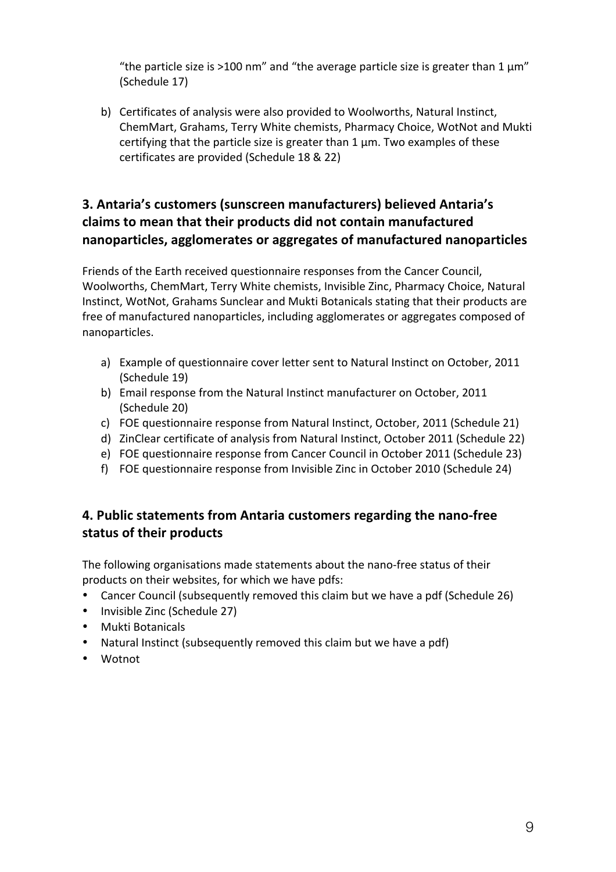"the particle size is >100 nm" and "the average particle size is greater than 1  $\mu$ m" (Schedule 17)

b) Certificates of analysis were also provided to Woolworths, Natural Instinct, ChemMart, Grahams, Terry White chemists, Pharmacy Choice, WotNot and Mukti certifying that the particle size is greater than  $1 \mu$ m. Two examples of these certificates are provided (Schedule 18 & 22)

# **3. Antaria's customers (sunscreen manufacturers) believed Antaria's** claims to mean that their products did not contain manufactured **nanoparticles, agglomerates or aggregates of manufactured nanoparticles**

Friends of the Earth received questionnaire responses from the Cancer Council, Woolworths, ChemMart, Terry White chemists, Invisible Zinc, Pharmacy Choice, Natural Instinct, WotNot, Grahams Sunclear and Mukti Botanicals stating that their products are free of manufactured nanoparticles, including agglomerates or aggregates composed of nanoparticles. 

- a) Example of questionnaire cover letter sent to Natural Instinct on October, 2011 (Schedule 19)
- b) Email response from the Natural Instinct manufacturer on October, 2011 (Schedule 20)
- c) FOE questionnaire response from Natural Instinct, October, 2011 (Schedule 21)
- d) ZinClear certificate of analysis from Natural Instinct, October 2011 (Schedule 22)
- e) FOE questionnaire response from Cancer Council in October 2011 (Schedule 23)
- f) FOE questionnaire response from Invisible Zinc in October 2010 (Schedule 24)

# **4. Public statements from Antaria customers regarding the nano-free status of their products**

The following organisations made statements about the nano-free status of their products on their websites, for which we have pdfs:

- Cancer Council (subsequently removed this claim but we have a pdf (Schedule 26)
- Invisible Zinc (Schedule 27)
- Mukti Botanicals
- Natural Instinct (subsequently removed this claim but we have a pdf)
- Wotnot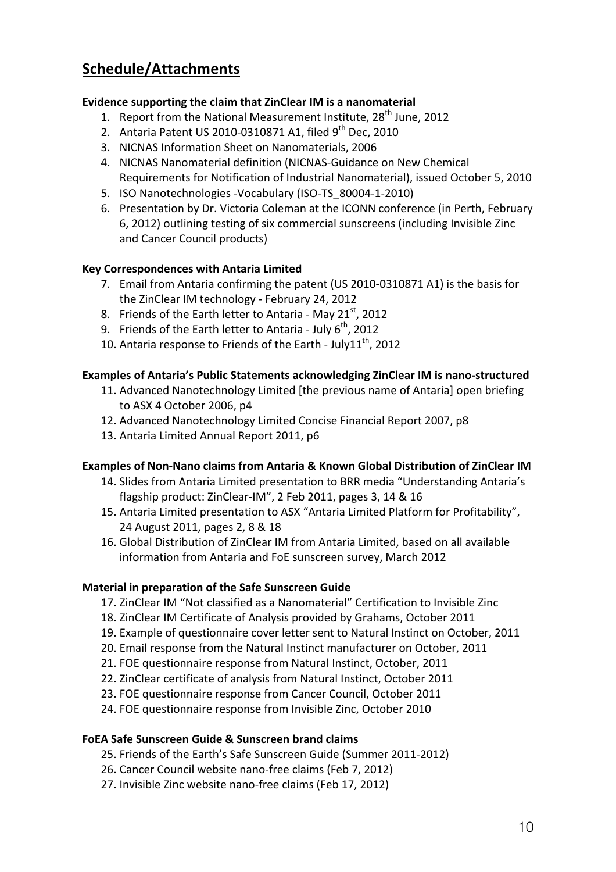# **Schedule/Attachments**

#### **Evidence supporting the claim that ZinClear IM is a nanomaterial**

- 1. Report from the National Measurement Institute,  $28<sup>th</sup>$  June, 2012
- 2. Antaria Patent US 2010-0310871 A1, filed  $9^{th}$  Dec, 2010
- 3. NICNAS Information Sheet on Nanomaterials, 2006
- 4. NICNAS Nanomaterial definition (NICNAS-Guidance on New Chemical Requirements for Notification of Industrial Nanomaterial), issued October 5, 2010
- 5. ISO Nanotechnologies -Vocabulary (ISO-TS 80004-1-2010)
- 6. Presentation by Dr. Victoria Coleman at the ICONN conference (in Perth, February 6, 2012) outlining testing of six commercial sunscreens (including Invisible Zinc and Cancer Council products)

#### **Key Correspondences with Antaria Limited**

- 7. Email from Antaria confirming the patent (US 2010-0310871 A1) is the basis for the ZinClear IM technology - February 24, 2012
- 8. Friends of the Earth letter to Antaria May  $21^{st}$ , 2012
- 9. Friends of the Earth letter to Antaria July  $6^{th}$ , 2012
- 10. Antaria response to Friends of the Earth July11<sup>th</sup>, 2012

### **Examples of Antaria's Public Statements acknowledging ZinClear IM is nano-structured**

- 11. Advanced Nanotechnology Limited [the previous name of Antaria] open briefing to ASX 4 October 2006, p4
- 12. Advanced Nanotechnology Limited Concise Financial Report 2007, p8
- 13. Antaria Limited Annual Report 2011, p6

#### **Examples of Non-Nano claims from Antaria & Known Global Distribution of ZinClear IM**

- 14. Slides from Antaria Limited presentation to BRR media "Understanding Antaria's flagship product: ZinClear-IM", 2 Feb 2011, pages 3, 14 & 16
- 15. Antaria Limited presentation to ASX "Antaria Limited Platform for Profitability", 24 August 2011, pages 2, 8 & 18
- 16. Global Distribution of ZinClear IM from Antaria Limited, based on all available information from Antaria and FoE sunscreen survey, March 2012

#### **Material in preparation of the Safe Sunscreen Guide**

- 17. ZinClear IM "Not classified as a Nanomaterial" Certification to Invisible Zinc
- 18. ZinClear IM Certificate of Analysis provided by Grahams, October 2011
- 19. Example of questionnaire cover letter sent to Natural Instinct on October, 2011
- 20. Email response from the Natural Instinct manufacturer on October, 2011
- 21. FOE questionnaire response from Natural Instinct, October, 2011
- 22. ZinClear certificate of analysis from Natural Instinct, October 2011
- 23. FOE questionnaire response from Cancer Council, October 2011
- 24. FOE questionnaire response from Invisible Zinc, October 2010

#### **FoEA Safe Sunscreen Guide & Sunscreen brand claims**

- 25. Friends of the Earth's Safe Sunscreen Guide (Summer 2011-2012)
- 26. Cancer Council website nano-free claims (Feb 7, 2012)
- 27. Invisible Zinc website nano-free claims (Feb 17, 2012)